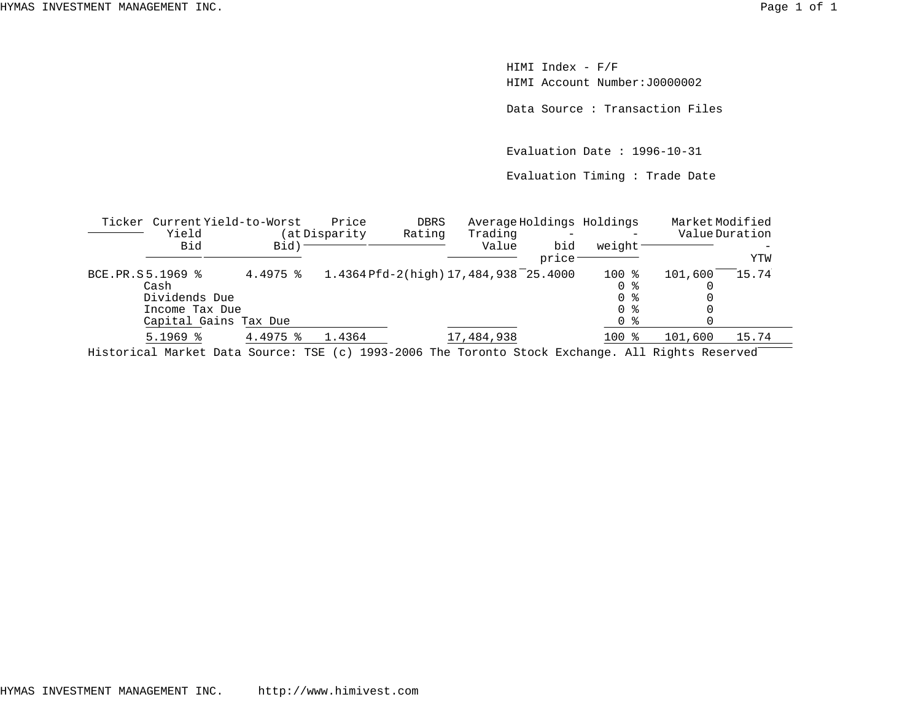HIMI Index - F/F HIMI Account Number:J0000002

Data Source : Transaction Files

Evaluation Date : 1996-10-31

Evaluation Timing : Trade Date

|                  | Ticker Current Yield-to-Worst                                                                                                                                                                                                                                                                                                                       |                        | Price         | <b>DBRS</b>                                                                                                                                                                                                                                                                                                                                                                            | Average Holdings Holdings             |       |         | MarketModified |       |
|------------------|-----------------------------------------------------------------------------------------------------------------------------------------------------------------------------------------------------------------------------------------------------------------------------------------------------------------------------------------------------|------------------------|---------------|----------------------------------------------------------------------------------------------------------------------------------------------------------------------------------------------------------------------------------------------------------------------------------------------------------------------------------------------------------------------------------------|---------------------------------------|-------|---------|----------------|-------|
|                  | Yield                                                                                                                                                                                                                                                                                                                                               |                        | (at Disparity | Rating                                                                                                                                                                                                                                                                                                                                                                                 | Trading                               |       |         | Value Duration |       |
|                  | Bid                                                                                                                                                                                                                                                                                                                                                 | Bid)                   |               |                                                                                                                                                                                                                                                                                                                                                                                        | Value                                 | bid   | weight  |                |       |
|                  |                                                                                                                                                                                                                                                                                                                                                     |                        |               |                                                                                                                                                                                                                                                                                                                                                                                        |                                       | price |         |                | YTW   |
| BCE.PR.S5.1969 % |                                                                                                                                                                                                                                                                                                                                                     | $4.4975$ $\frac{8}{3}$ |               |                                                                                                                                                                                                                                                                                                                                                                                        | 1.4364 Pfd-2(high) 17,484,938 25.4000 |       | $100$ % | 101,600        | 15.74 |
|                  | Cash                                                                                                                                                                                                                                                                                                                                                |                        |               |                                                                                                                                                                                                                                                                                                                                                                                        |                                       |       | 0 %     |                |       |
|                  | Dividends Due                                                                                                                                                                                                                                                                                                                                       |                        |               |                                                                                                                                                                                                                                                                                                                                                                                        |                                       |       | 0 %     |                |       |
|                  | Income Tax Due                                                                                                                                                                                                                                                                                                                                      |                        |               |                                                                                                                                                                                                                                                                                                                                                                                        |                                       |       | 0 %     |                |       |
|                  | Capital Gains Tax Due                                                                                                                                                                                                                                                                                                                               |                        |               |                                                                                                                                                                                                                                                                                                                                                                                        |                                       |       | 0 %     |                |       |
|                  | $5.1969$ $8$                                                                                                                                                                                                                                                                                                                                        | $4.4975$ $\frac{8}{3}$ | 1.4364        |                                                                                                                                                                                                                                                                                                                                                                                        | 17,484,938                            |       | 100 %   | 101,600        | 15.74 |
|                  | $\overline{1}$ , $\overline{1}$ , $\overline{1}$ , $\overline{1}$ , $\overline{1}$ , $\overline{1}$ , $\overline{1}$ , $\overline{1}$ , $\overline{1}$ , $\overline{1}$ , $\overline{1}$ , $\overline{1}$ , $\overline{1}$ , $\overline{1}$ , $\overline{1}$ , $\overline{1}$ , $\overline{1}$ , $\overline{1}$ , $\overline{1}$ , $\overline{1}$ , |                        |               | $\begin{array}{c} \n \text{1000} \\ \text{1111} \\ \text{1211} \\ \text{1311} \\ \text{1411} \\ \text{1511} \\ \text{1611} \\ \text{1711} \\ \text{1811} \\ \text{1911} \\ \text{1911} \\ \text{1911} \\ \text{1911} \\ \text{1911} \\ \text{1911} \\ \text{1911} \\ \text{1911} \\ \text{1911} \\ \text{1911} \\ \text{1911} \\ \text{1911} \\ \text{1911} \\ \text{1911} \\ \text{1$ |                                       |       |         |                |       |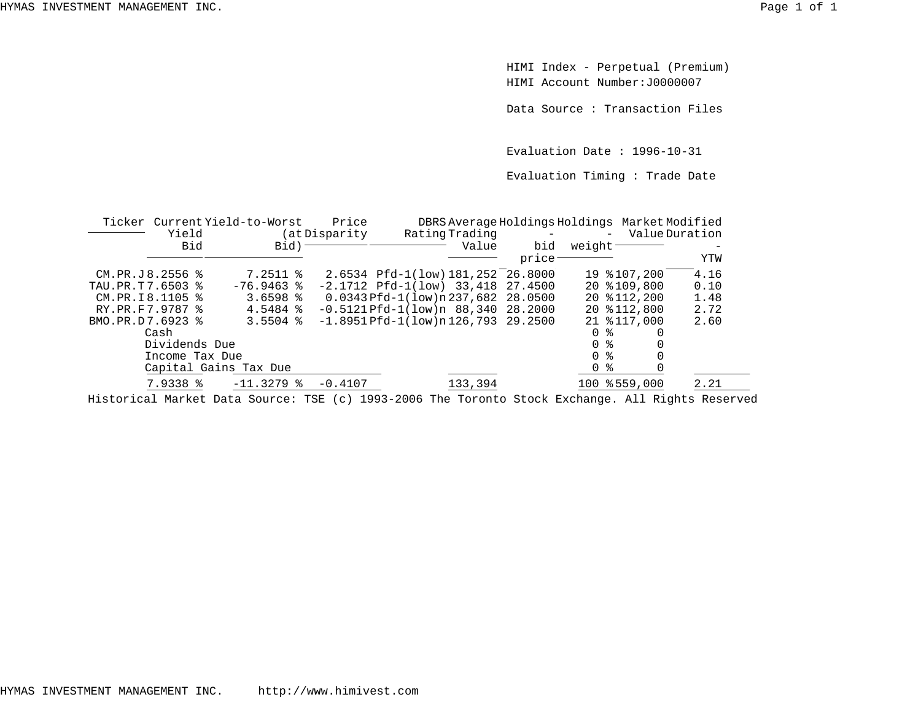HIMI Index - Perpetual (Premium) HIMI Account Number:J0000007

Data Source : Transaction Files

Evaluation Date : 1996-10-31

Evaluation Timing : Trade Date

|                      | Ticker Current Yield-to-Worst |  |                       | Price          | DBRS Average Holdings Holdings Market Modified |                  |                     |      |  |  |  |
|----------------------|-------------------------------|--|-----------------------|----------------|------------------------------------------------|------------------|---------------------|------|--|--|--|
|                      | Yield                         |  | (at Disparity)        | Rating Trading | $\sim 100$ km s $^{-1}$                        | - Value Duration |                     |      |  |  |  |
|                      | Bid                           |  | Bid)                  |                | Value                                          | bid              | weight <sup>-</sup> |      |  |  |  |
|                      |                               |  |                       |                |                                                | price            |                     | YTW  |  |  |  |
| $CM.PR.J.8.2556$ $%$ |                               |  | $7.2511$ %            |                | 2.6534 Pfd-1(low) 181, 252 26.8000             |                  | 19 % 107, 200       | 4.16 |  |  |  |
| TAU.PR.T7.6503 %     |                               |  | $-76.9463$ %          |                | $-2.1712$ Pfd $-1(low)$ 33.418 27.4500         |                  | 20 \$109,800        | 0.10 |  |  |  |
| CM.PR.I8.1105 %      |                               |  | 3.6598 $%$            |                | 0.0343 Pfd-1(low)n 237,682 28.0500             |                  | 20 \$112,200        | 1.48 |  |  |  |
| RY.PR.F7.9787 %      |                               |  | $4.5484$ %            |                | $-0.5121$ Pfd $-1($ low)n 88,340 28.2000       |                  | 20 \$112,800        | 2.72 |  |  |  |
| BMO.PR.D7.6923 %     |                               |  | $3.5504$ %            |                | $-1.8951$ Pfd $-1$ (low)n 126,793 29.2500      |                  | 21 \$117,000        | 2.60 |  |  |  |
|                      | Cash                          |  |                       |                |                                                |                  | <sup>n</sup><br>ৡ   |      |  |  |  |
|                      | Dividends Due                 |  |                       |                |                                                |                  | 0 %                 |      |  |  |  |
|                      | Income Tax Due                |  |                       |                |                                                |                  | $\Omega$<br>ু       |      |  |  |  |
|                      |                               |  | Capital Gains Tax Due |                |                                                |                  | $\Omega$<br>ႜ       |      |  |  |  |
|                      | 7.9338 %                      |  | $-11.3279$ &          | $-0.4107$      | 133,394                                        |                  | 100 % 559,000       | 2.21 |  |  |  |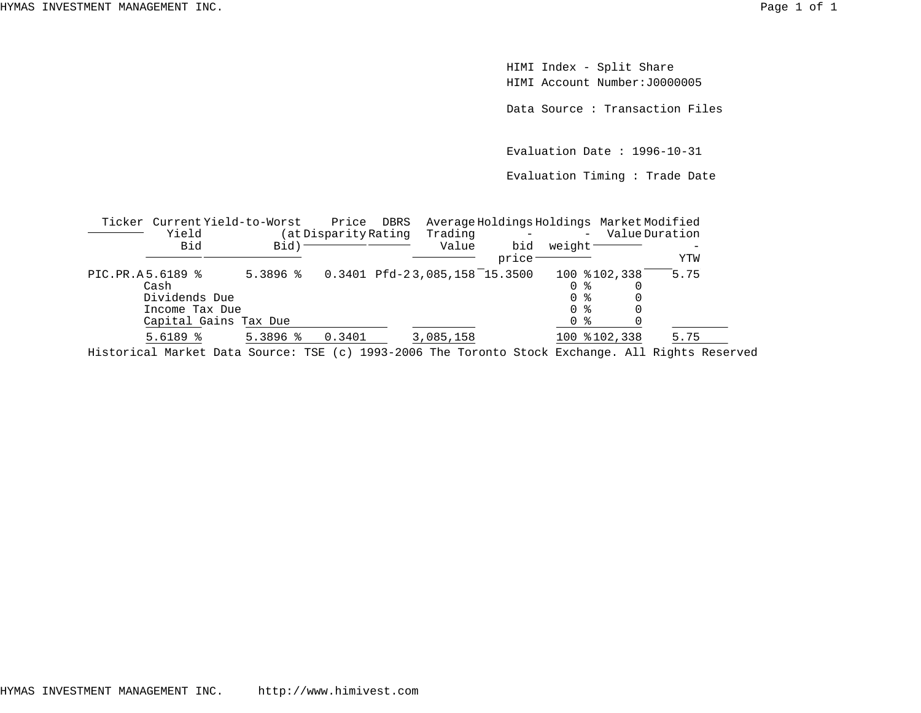HIMI Index - Split Share HIMI Account Number:J0000005

Data Source : Transaction Files

Evaluation Date : 1996-10-31

Evaluation Timing : Trade Date

|                  | Ticker Current Yield-to-Worst<br>Yield |                                                  | Price<br>Average Holdings Holdings Market Modified<br>DBRS<br>Trading<br>(at Disparity Rating |                                                                                                                                                                                                                                                                                                                                                                         |                                 |              | $\overline{\phantom{0}}$ | Value Duration |
|------------------|----------------------------------------|--------------------------------------------------|-----------------------------------------------------------------------------------------------|-------------------------------------------------------------------------------------------------------------------------------------------------------------------------------------------------------------------------------------------------------------------------------------------------------------------------------------------------------------------------|---------------------------------|--------------|--------------------------|----------------|
|                  | Bid                                    | Bid)                                             |                                                                                               |                                                                                                                                                                                                                                                                                                                                                                         | Value                           | bid<br>price | weight                   | YTW            |
| PIC.PR.A5.6189 % |                                        | $5.3896$ %                                       |                                                                                               |                                                                                                                                                                                                                                                                                                                                                                         | $0.3401$ Pfd-23,085,158 15.3500 |              | 100 \$102,338            | 5.75           |
|                  | Cash                                   |                                                  |                                                                                               |                                                                                                                                                                                                                                                                                                                                                                         |                                 |              | 0 %                      |                |
|                  | Dividends Due                          |                                                  |                                                                                               |                                                                                                                                                                                                                                                                                                                                                                         |                                 |              |                          |                |
|                  | Income Tax Due                         |                                                  |                                                                                               |                                                                                                                                                                                                                                                                                                                                                                         |                                 |              |                          |                |
|                  | Capital Gains Tax Due                  |                                                  |                                                                                               |                                                                                                                                                                                                                                                                                                                                                                         |                                 |              | 0 %                      |                |
|                  | $5.6189$ %                             | $5.3896$ %                                       | 0.3401                                                                                        |                                                                                                                                                                                                                                                                                                                                                                         | 3,085,158                       |              | 100 %102,338             | 5.75           |
|                  | .                                      | $\sim$ $\sim$ $\sim$ $\sim$ $\sim$ $\sim$ $\sim$ |                                                                                               | $\begin{array}{c} \n \text{1.000} \\ \text{1.001} \\ \text{1.002} \\ \text{1.003} \\ \text{1.003} \\ \text{1.003} \\ \text{1.003} \\ \text{1.003} \\ \text{1.003} \\ \text{1.003} \\ \text{1.003} \\ \text{1.003} \\ \text{1.003} \\ \text{1.003} \\ \text{1.003} \\ \text{1.003} \\ \text{1.003} \\ \text{1.003} \\ \text{1.003} \\ \text{1.003} \\ \text{1.003} \\ \$ | $\sim$ $\sim$                   |              | $-1$<br>$-1$             | .              |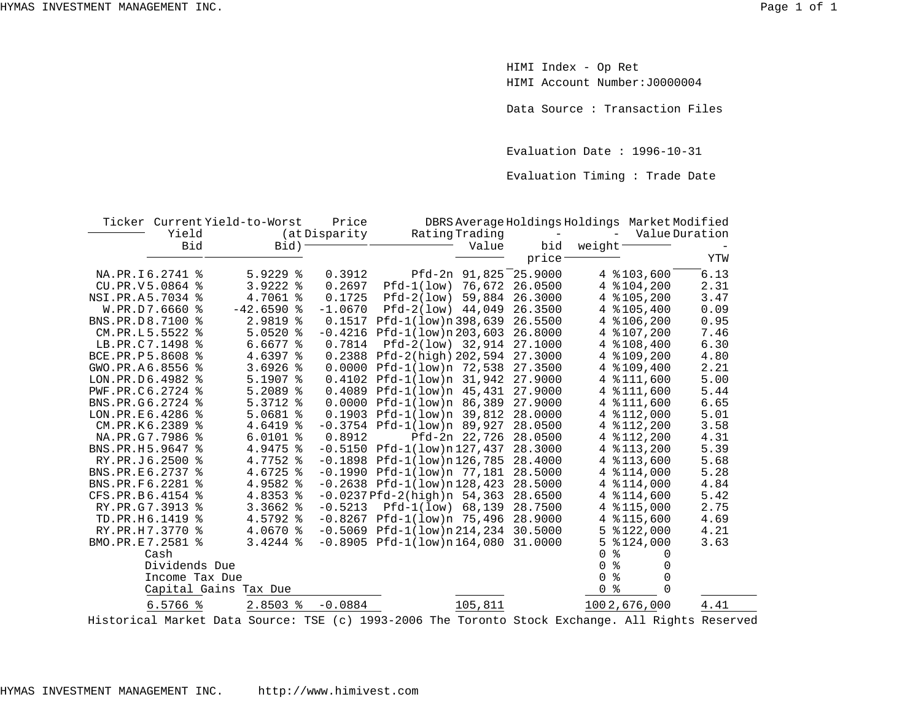HIMI Index - Op Ret HIMI Account Number:J0000004

Data Source : Transaction Files

Evaluation Date : 1996-10-31

Evaluation Timing : Trade Date

|                  |                 | Ticker Current Yield-to-Worst | Price         |                                     |         | DBRS Average Holdings Holdings Market Modified |                |
|------------------|-----------------|-------------------------------|---------------|-------------------------------------|---------|------------------------------------------------|----------------|
|                  | Yield           |                               | (at Disparity | Rating Trading                      |         | $\overline{\phantom{a}}$                       | Value Duration |
|                  | Bid             | Bid)                          |               | Value                               | bid     | weight                                         |                |
|                  |                 |                               |               |                                     | price   |                                                | YTW            |
| NA.PR.I6.2741 %  |                 | $5.9229$ $8$                  | 0.3912        | Pfd-2n 91,825                       | 25.9000 | 4 $$103,600$                                   | 6.13           |
|                  | CU.PR.V5.0864 % | 3.9222<br>ႜ                   | 0.2697        | 76,672<br>$Pfd-1(low)$              | 26.0500 | 4 % 104, 200                                   | 2.31           |
| NSI.PR.A5.7034 % |                 | 4.7061 %                      | 0.1725        | $Pfd-2(low)$<br>59,884              | 26.3000 | 4 $$105.200$                                   | 3.47           |
|                  | W.PR.D7.6660 %  | $-42.6590$ %                  | $-1.0670$     | $Pfd-2(low)$ 44,049                 | 26.3500 | 4 % 105, 400                                   | 0.09           |
| BNS.PR.D8.7100 % |                 | 2.9819 %                      |               | 0.1517 Pfd-1(low)n 398,639          | 26.5500 | 4 $$106, 200$                                  | 0.95           |
| CM.PR.L5.5522 %  |                 | $5.0520$ %                    |               | $-0.4216$ Pfd $-1$ (low)n 203,603   | 26.8000 | \$107,200<br>4                                 | 7.46           |
| LB.PR.C7.1498 %  |                 | $6.6677$ $\approx$            | 0.7814        | Pfd-2(low) 32,914                   | 27.1000 | 4 % 108, 400                                   | 6.30           |
| BCE.PR.P5.8608 % |                 | 4.6397 %                      |               | $0.2388$ Pfd-2(high) 202,594        | 27.3000 | 4 %109,200                                     | 4.80           |
| GWO.PR.A6.8556 % |                 | $3.6926$ %                    |               | 0.0000 Pfd-1(low)n 72,538           | 27.3500 | 4 %109,400                                     | 2.21           |
| LON.PR.D6.4982 % |                 | $5.1907$ $\approx$            |               | $0.4102$ Pfd-1(low)n 31,942         | 27.9000 | \$111,600<br>4                                 | 5.00           |
| PWF.PR.C6.2724 % |                 | $5.2089$ %                    |               | $0.4089$ Pfd-1(low)n $45,431$       | 27.9000 | 4 % 111,600                                    | 5.44           |
| BNS.PR.G6.2724 % |                 | 5.3712 %                      |               | 0.0000 Pfd-1(low)n 86,389           | 27.9000 | 4 % 111,600                                    | 6.65           |
| LON.PR.E6.4286 % |                 | $5.0681$ %                    |               | $0.1903$ Pfd-1(low)n 39,812         | 28.0000 | 4 % 112,000                                    | 5.01           |
| CM.PR.K6.2389 %  |                 | 4.6419 %                      |               | $-0.3754$ Pfd $-1(1ow)$ n 89,927    | 28.0500 | 4 % 112, 200                                   | 3.58           |
| NA.PR.G7.7986 %  |                 | $6.0101$ %                    | 0.8912        | Pfd-2n 22,726                       | 28.0500 | 4 % 112, 200                                   | 4.31           |
| BNS.PR.H5.9647 % |                 | 4.9475 %                      |               | $-0.5150$ Pfd $-1$ (low)n $127,437$ | 28.3000 | 4 $$113,200$                                   | 5.39           |
| RY.PR.J6.2500 %  |                 | 4.7752 %                      |               | $-0.1898$ Pfd $-1(low)n126,785$     | 28,4000 | 4 $$113,600$                                   | 5.68           |
| BNS.PR.E6.2737 % |                 | 4.6725 %                      |               | $-0.1990$ Pfd $-1(low)n$ 77,181     | 28.5000 | 4 $$114,000$                                   | 5.28           |
| BNS.PR.F6.2281 % |                 | 4.9582 %                      |               | $-0.2638$ Pfd $-1$ (low)n 128,423   | 28.5000 | 4 $$114,000$                                   | 4.84           |
| CFS.PR.B6.4154 % |                 | 4.8353 %                      |               | $-0.0237$ Pfd $-2$ (high)n 54,363   | 28.6500 | 4 $$114,600$                                   | 5.42           |
| RY.PR.G7.3913 %  |                 | $3.3662$ $%$                  | $-0.5213$     | $Pfd-1(low)$ 68,139                 | 28.7500 | 4 % 115,000                                    | 2.75           |
| TD.PR.H6.1419 %  |                 | 4.5792 %                      |               | $-0.8267$ Pfd $-1(low)n$ 75,496     | 28,9000 | \$115,600<br>4                                 | 4.69           |
| RY.PR.H7.3770 %  |                 | 4.0670 %                      |               | $-0.5069$ Pfd $-1(low)n214,234$     | 30.5000 | 5<br>\$122,000                                 | 4.21           |
| BMO.PR.E7.2581 % |                 | $3.4244$ %                    |               | $-0.8905$ Pfd $-1(low)n164,080$     | 31.0000 | 5<br>\$124,000                                 | 3.63           |
|                  | Cash            |                               |               |                                     |         | ిక<br>$\Omega$<br>$\Omega$                     |                |
|                  | Dividends Due   |                               |               |                                     |         | န္<br>$\Omega$<br>$\Omega$                     |                |
|                  | Income Tax Due  |                               |               |                                     |         | ಕಿ<br>$\Omega$<br>$\Omega$                     |                |
|                  |                 | Capital Gains Tax Due         |               |                                     |         | နွ<br>0                                        |                |
|                  | $6.5766$ %      | $2.8503$ $\frac{8}{3}$        | $-0.0884$     | 105,811                             |         | 1002,676,000                                   | 4.41           |
|                  |                 |                               |               |                                     |         |                                                |                |